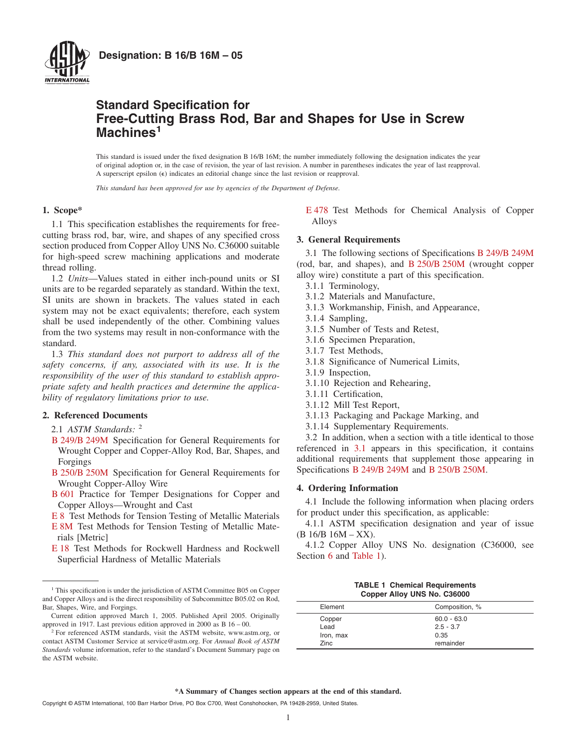

## **Standard Specification for Free-Cutting Brass Rod, Bar and Shapes for Use in Screw Machines<sup>1</sup>**

This standard is issued under the fixed designation B 16/B 16M; the number immediately following the designation indicates the year of original adoption or, in the case of revision, the year of last revision. A number in parentheses indicates the year of last reapproval. A superscript epsilon  $(\epsilon)$  indicates an editorial change since the last revision or reapproval.

*This standard has been approved for use by agencies of the Department of Defense.*

#### **1. Scope\***

1.1 This specification establishes the requirements for freecutting brass rod, bar, wire, and shapes of any specified cross section produced from Copper Alloy UNS No. C36000 suitable for high-speed screw machining applications and moderate thread rolling.

1.2 *Units*—Values stated in either inch-pound units or SI units are to be regarded separately as standard. Within the text, SI units are shown in brackets. The values stated in each system may not be exact equivalents; therefore, each system shall be used independently of the other. Combining values from the two systems may result in non-conformance with the standard.

1.3 *This standard does not purport to address all of the safety concerns, if any, associated with its use. It is the responsibility of the user of this standard to establish appropriate safety and health practices and determine the applicability of regulatory limitations prior to use.*

## **2. Referenced Documents**

2.1 *ASTM Standards:* <sup>2</sup>

- [B 249/B 249M](#page-0-0) Specification for General Requirements for Wrought Copper and Copper-Alloy Rod, Bar, Shapes, and Forgings
- [B 250/B 250M](#page-0-1) Specification for General Requirements for Wrought Copper-Alloy Wire
- [B 601](#page-1-0) Practice for Temper Designations for Copper and Copper Alloys—Wrought and Cast

[E 8](#page-3-0) Test Methods for Tension Testing of Metallic Materials

- [E 8M](#page-3-0) Test Methods for Tension Testing of Metallic Materials [Metric]
- [E 18](#page-3-1) Test Methods for Rockwell Hardness and Rockwell Superficial Hardness of Metallic Materials

<span id="page-0-9"></span><span id="page-0-4"></span>[E 478](#page-4-0) Test Methods for Chemical Analysis of Copper Alloys

## <span id="page-0-0"></span>**3. General Requirements**

<span id="page-0-1"></span>3.1 The following sections of Specifications [B 249/B 249M](#page-0-2) (rod, bar, and shapes), and [B 250/B 250M](#page-0-2) (wrought copper alloy wire) constitute a part of this specification.

- 3.1.1 Terminology,
- 3.1.2 Materials and Manufacture,
- 3.1.3 Workmanship, Finish, and Appearance,
- 3.1.4 Sampling,
- 3.1.5 Number of Tests and Retest,
- 3.1.6 Specimen Preparation,
- <span id="page-0-12"></span>3.1.7 Test Methods,
- 3.1.8 Significance of Numerical Limits,
- 3.1.9 Inspection,
- 3.1.10 Rejection and Rehearing,
- 3.1.11 Certification,
- 3.1.12 Mill Test Report,
- 3.1.13 Packaging and Package Marking, and
- <span id="page-0-10"></span>3.1.14 Supplementary Requirements.

3.2 In addition, when a section with a title identical to those referenced in [3.1](#page-0-0) appears in this specification, it contains additional requirements that supplement those appearing in Specifications [B 249/B 249M](#page-1-1) and [B 250/B 250M.](#page-4-1)

## <span id="page-0-2"></span>**4. Ordering Information**

4.1 Include the following information when placing orders for product under this specification, as applicable:

4.1.1 ASTM specification designation and year of issue  $(B 16/B 16M - XX).$ 

4.1.2 Copper Alloy UNS No. designation (C36000, see Section [6](#page-1-2) and [Table 1\)](#page-0-3).

<span id="page-0-11"></span><span id="page-0-8"></span><span id="page-0-7"></span><span id="page-0-6"></span><span id="page-0-5"></span>

| <b>TABLE 1 Chemical Requirements</b> |  |                             |
|--------------------------------------|--|-----------------------------|
|                                      |  | Copper Alloy UNS No. C36000 |

<span id="page-0-3"></span>

| Element   | Composition, % |
|-----------|----------------|
| Copper    | $60.0 - 63.0$  |
| Lead      | $2.5 - 3.7$    |
| Iron, max | 0.35           |
| Zinc      | remainder      |

<sup>&</sup>lt;sup>1</sup> This specification is under the jurisdiction of ASTM Committee B05 on Copper and Copper Alloys and is the direct responsibility of Subcommittee B05.02 on Rod, Bar, Shapes, Wire, and Forgings.

Current edition approved March 1, 2005. Published April 2005. Originally approved in 1917. Last previous edition approved in 2000 as B 16 – 00.

<sup>&</sup>lt;sup>2</sup> For referenced ASTM standards, visit the ASTM website, www.astm.org, or contact ASTM Customer Service at service@astm.org. For *Annual Book of ASTM Standards* volume information, refer to the standard's Document Summary page on the ASTM website.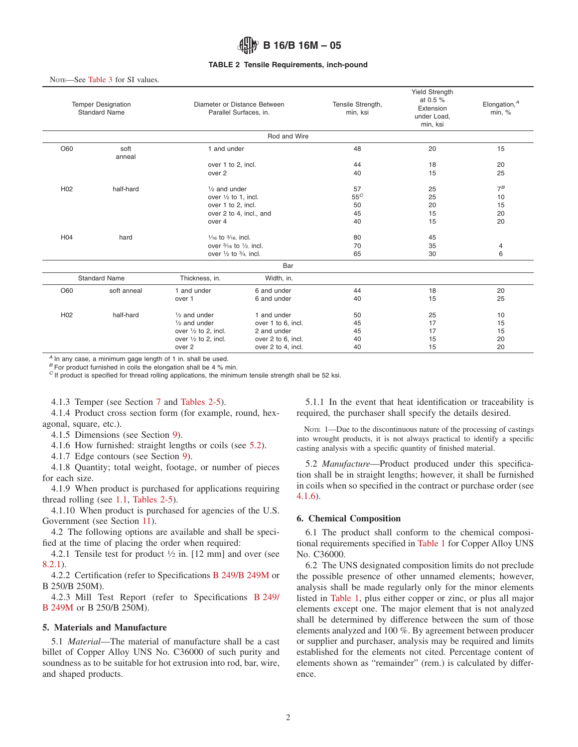#### <span id="page-1-3"></span>**TABLE 2 Tensile Requirements, inch-pound**

NOTE-See [Table 3](#page-2-0) for SI values.

|                 | Diameter or Distance Between<br><b>Temper Designation</b><br><b>Standard Name</b><br>Parallel Surfaces, in. |                                             |                         | Tensile Strength,<br>min, ksi | <b>Yield Strength</b><br>at 0.5 %<br>Extension<br>under Load,<br>min, ksi | Elongation, $A$<br>min, $%$ |
|-----------------|-------------------------------------------------------------------------------------------------------------|---------------------------------------------|-------------------------|-------------------------------|---------------------------------------------------------------------------|-----------------------------|
|                 |                                                                                                             |                                             | Rod and Wire            |                               |                                                                           |                             |
| O60             | soft<br>anneal                                                                                              | 1 and under                                 |                         | 48                            | 20                                                                        | 15                          |
|                 |                                                                                                             | over 1 to 2, incl.                          |                         | 44                            | 18                                                                        | 20                          |
|                 |                                                                                                             | over 2                                      |                         | 40                            | 15                                                                        | 25                          |
| H <sub>02</sub> | half-hard                                                                                                   | $\frac{1}{2}$ and under                     |                         | 57                            | 25                                                                        | $7^B$                       |
|                 |                                                                                                             | over $\frac{1}{2}$ to 1, incl.              |                         | $55^C$                        | 25                                                                        | 10                          |
|                 |                                                                                                             | over 1 to 2, incl.                          |                         | 50                            | 20                                                                        | 15                          |
|                 |                                                                                                             |                                             | over 2 to 4, incl., and | 45                            | 15                                                                        | 20                          |
|                 |                                                                                                             | over 4                                      |                         | 40                            | 15                                                                        | 20                          |
| H <sub>04</sub> | hard                                                                                                        | $\frac{1}{16}$ to $\frac{3}{16}$ incl.      |                         | 80                            | 45                                                                        |                             |
|                 |                                                                                                             | over $\frac{3}{16}$ to $\frac{1}{2}$ incl.  |                         | 70                            | 35                                                                        | 4                           |
|                 |                                                                                                             | over $\frac{1}{2}$ to $\frac{3}{4}$ , incl. |                         | 65                            | 30                                                                        | 6                           |
|                 |                                                                                                             |                                             | Bar                     |                               |                                                                           |                             |
|                 | <b>Standard Name</b>                                                                                        | Thickness, in.                              | Width, in.              |                               |                                                                           |                             |
| O60             | soft anneal                                                                                                 | 1 and under                                 | 6 and under             | 44                            | 18                                                                        | 20                          |
|                 |                                                                                                             | over 1                                      | 6 and under             | 40                            | 15                                                                        | 25                          |
| H <sub>02</sub> | half-hard                                                                                                   | $\frac{1}{2}$ and under                     | 1 and under             | 50                            | 25                                                                        | 10                          |
|                 |                                                                                                             | $1/2$ and under                             | over 1 to 6, incl.      | 45                            | 17                                                                        | 15                          |
|                 |                                                                                                             | over $1/2$ to 2, incl.                      | 2 and under             | 45                            | 17                                                                        | 15                          |
|                 |                                                                                                             | over $\frac{1}{2}$ to 2, incl.              | over 2 to 6, incl.      | 40                            | 15                                                                        | 20                          |
|                 |                                                                                                             | over 2                                      | over 2 to 4, incl.      | 40                            | 15                                                                        | 20                          |

*<sup>A</sup>* In any case, a minimum gage length of 1 in. shall be used.

*B* For product furnished in coils the elongation shall be 4 % min.

*<sup>C</sup>* If product is specified for thread rolling applications, the minimum tensile strength shall be 52 ksi.

4.1.3 Temper (see Section [7](#page-3-2) and [Tables 2-5\)](#page-1-3).

4.1.4 Product cross section form (for example, round, hexagonal, square, etc.).

- 4.1.5 Dimensions (see Section [9\)](#page-3-3).
- 4.1.6 How furnished: straight lengths or coils (see [5.2\)](#page-1-4).

4.1.7 Edge contours (see Section [9\)](#page-3-3).

4.1.8 Quantity; total weight, footage, or number of pieces for each size.

4.1.9 When product is purchased for applications requiring thread rolling (see [1.1,](#page-0-4) [Tables 2-5\)](#page-1-3).

4.1.10 When product is purchased for agencies of the U.S. Government (see Section [11\)](#page-4-2).

4.2 The following options are available and shall be specified at the time of placing the order when required:

4.2.1 Tensile test for product  $\frac{1}{2}$  in. [12 mm] and over (see [8.2.1\)](#page-3-4).

4.2.2 Certifi[cation](#page-1-5) [\(refer](#page-1-5) [to](#page-1-5) [Specifications](#page-1-5) [B 249/B 249M](#page-1-5) or B 250/B 250M).

4.2.3 Mill Test Report (refer to Specifications [B 249/](#page-3-5) [B 249M](#page-3-5) [or B 250/B 250M\)](#page-3-6).

## **5. Materials and Manufacture**

5.1 *Material*—The material of manufacture shall be a cast billet of Copper Alloy UNS No. C36000 of such purity and soundness as to be suitable for hot extrusion into rod, bar, wire, and shaped products.

<span id="page-1-7"></span>5.1.1 In the event that heat identification or traceability is required, the purchaser shall specify the details desired.

<span id="page-1-6"></span>NOTE 1—Due to the discontinuous nature of the processing of castings into wrought products, it is not always practical to identify a specific casting analysis with a specific quantity of finished material.

<span id="page-1-4"></span>5.2 *Manufacture*—Product produced under this specification shall be in straight lengths; however, it shall be furnished in coils when so specified in the contract or purchase order (see [4.1.6\)](#page-1-6).

## <span id="page-1-2"></span>**6. Chemical Composition**

6.1 The product shall conform to the chemical compositional requirements specified in [Table 1](#page-0-3) for Copper Alloy UNS No. C36000.

<span id="page-1-5"></span><span id="page-1-1"></span><span id="page-1-0"></span>6.2 The UNS designated composition limits do not preclude the possible presence of other unnamed elements; however, analysis shall be made regularly only for the minor elements listed in [Table 1,](#page-0-3) plus either copper or zinc, or plus all major elements except one. The major element that is not analyzed shall be determined by difference between the sum of those elements analyzed and 100 %. By agreement between producer or supplier and purchaser, analysis may be required and limits established for the elements not cited. Percentage content of elements shown as "remainder" (rem.) is calculated by difference.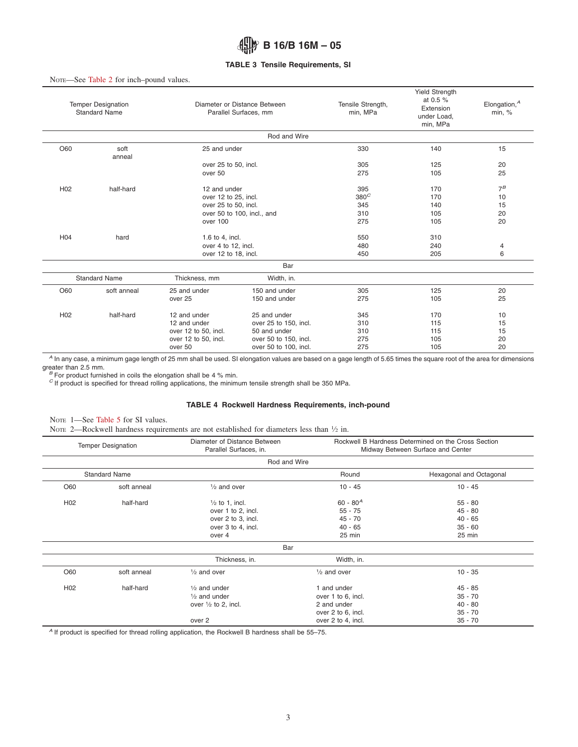## <span id="page-2-0"></span>**TABLE 3 Tensile Requirements, SI**

#### NOTE—See [Table 2](#page-1-3) for inch–pound values.

| <b>Temper Designation</b><br>Diameter or Distance Between<br><b>Standard Name</b><br>Parallel Surfaces, mm |                      |                                                                                         | Tensile Strength,<br>min, MPa                                                                           | <b>Yield Strength</b><br>at 0.5 %<br>Extension<br>under Load,<br>min, MPa | Elongation, $A$<br>min, %       |                            |
|------------------------------------------------------------------------------------------------------------|----------------------|-----------------------------------------------------------------------------------------|---------------------------------------------------------------------------------------------------------|---------------------------------------------------------------------------|---------------------------------|----------------------------|
|                                                                                                            |                      |                                                                                         | Rod and Wire                                                                                            |                                                                           |                                 |                            |
| O60                                                                                                        | soft<br>anneal       | 25 and under                                                                            |                                                                                                         | 330                                                                       | 140                             | 15                         |
|                                                                                                            |                      | over 25 to 50, incl.<br>over 50                                                         |                                                                                                         | 305<br>275                                                                | 125<br>105                      | 20<br>25                   |
| H <sub>02</sub>                                                                                            | half-hard            | 12 and under<br>over 12 to 25, incl.                                                    |                                                                                                         | 395<br>380 <sup>C</sup>                                                   | 170<br>170<br>140               | $7^B$<br>10                |
|                                                                                                            |                      | over 25 to 50, incl.<br>over 100                                                        | over 50 to 100, incl., and                                                                              | 345<br>310<br>275                                                         | 105<br>105                      | 15<br>20<br>20             |
| H <sub>04</sub>                                                                                            | hard                 | 1.6 to 4, incl.<br>over 4 to 12, incl.<br>over 12 to 18, incl.                          |                                                                                                         | 550<br>480<br>450                                                         | 310<br>240<br>205               | 4<br>6                     |
|                                                                                                            |                      |                                                                                         | Bar                                                                                                     |                                                                           |                                 |                            |
|                                                                                                            | <b>Standard Name</b> | Thickness, mm                                                                           | Width, in.                                                                                              |                                                                           |                                 |                            |
| O60                                                                                                        | soft anneal          | 25 and under<br>over 25                                                                 | 150 and under<br>150 and under                                                                          | 305<br>275                                                                | 125<br>105                      | 20<br>25                   |
| H <sub>02</sub>                                                                                            | half-hard            | 12 and under<br>12 and under<br>over 12 to 50, incl.<br>over 12 to 50, incl.<br>over 50 | 25 and under<br>over 25 to 150, incl.<br>50 and under<br>over 50 to 150, incl.<br>over 50 to 100, incl. | 345<br>310<br>310<br>275<br>275                                           | 170<br>115<br>115<br>105<br>105 | 10<br>15<br>15<br>20<br>20 |

*<sup>A</sup>* In any case, a minimum gage length of 25 mm shall be used. SI elongation values are based on a gage length of 5.65 times the square root of the area for dimensions

greater than 2.5 mm.<br>*B* For product furnished in coils the elongation shall be 4 % min.

*<sup>C</sup>* If product is specified for thread rolling applications, the minimum tensile strength shall be 350 MPa.

## <span id="page-2-1"></span>**TABLE 4 Rockwell Hardness Requirements, inch-pound**

NOTE 1-See [Table 5](#page-3-7) for SI values.

|  |  |  |  | Nore 2—Rockwell hardness requirements are not established for diameters less than $\frac{1}{2}$ in. |  |  |  |  |  |  |  |
|--|--|--|--|-----------------------------------------------------------------------------------------------------|--|--|--|--|--|--|--|
|--|--|--|--|-----------------------------------------------------------------------------------------------------|--|--|--|--|--|--|--|

| <b>Temper Designation</b> |                      | Diameter of Distance Between<br>Parallel Surfaces, in. |                        | Rockwell B Hardness Determined on the Cross Section<br>Midway Between Surface and Center |
|---------------------------|----------------------|--------------------------------------------------------|------------------------|------------------------------------------------------------------------------------------|
|                           |                      | Rod and Wire                                           |                        |                                                                                          |
|                           | <b>Standard Name</b> |                                                        | Round                  | Hexagonal and Octagonal                                                                  |
| O60                       | soft anneal          | $\frac{1}{2}$ and over                                 | $10 - 45$              | $10 - 45$                                                                                |
| H <sub>02</sub>           | half-hard            | $\frac{1}{2}$ to 1, incl.                              | $60 - 80^{A}$          | $55 - 80$                                                                                |
|                           |                      | over 1 to 2, incl.                                     | $55 - 75$              | $45 - 80$                                                                                |
|                           |                      | over 2 to 3, incl.                                     | $45 - 70$              | $40 - 65$                                                                                |
|                           |                      | over 3 to 4, incl.                                     | $40 - 65$              | $35 - 60$                                                                                |
|                           |                      | over 4                                                 | $25$ min               | 25 min                                                                                   |
|                           |                      | Bar                                                    |                        |                                                                                          |
|                           |                      | Thickness, in.                                         | Width, in.             |                                                                                          |
| O60                       | soft anneal          | $\frac{1}{2}$ and over                                 | $\frac{1}{2}$ and over | $10 - 35$                                                                                |
| H <sub>02</sub>           | half-hard            | $\frac{1}{2}$ and under                                | 1 and under            | $45 - 85$                                                                                |
|                           |                      | $\frac{1}{2}$ and under                                | over 1 to 6, incl.     | $35 - 70$                                                                                |
|                           |                      | over $\frac{1}{2}$ to 2, incl.                         | 2 and under            | $40 - 80$                                                                                |
|                           |                      |                                                        | over 2 to 6, incl.     | $35 - 70$                                                                                |
|                           |                      | over 2                                                 | over 2 to 4, incl.     | $35 - 70$                                                                                |

*<sup>A</sup>* If product is specified for thread rolling application, the Rockwell B hardness shall be 55–75.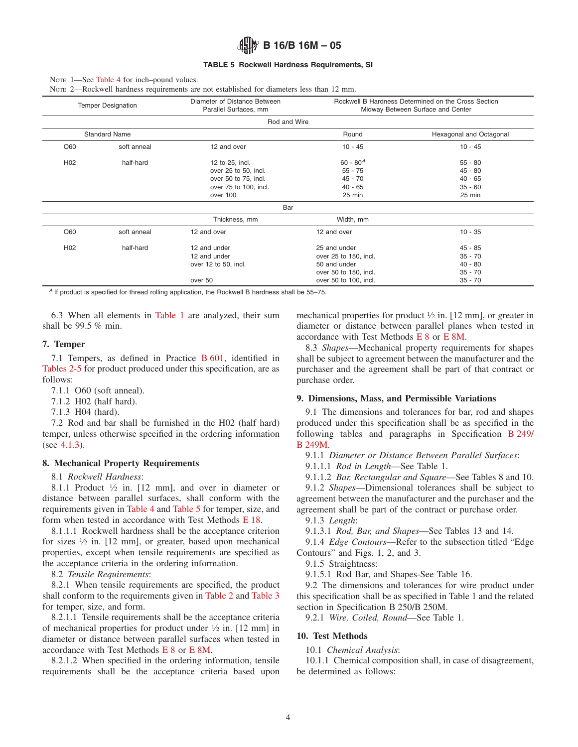#### <span id="page-3-7"></span>**TABLE 5 Rockwell Hardness Requirements, SI**

NOTE 1—See [Table 4](#page-2-1) for inch–pound values.

NOTE 2—Rockwell hardness requirements are not established for diameters less than 12 mm.

|                 | <b>Temper Designation</b> | Diameter of Distance Between<br>Parallel Surfaces, mm |                       | Rockwell B Hardness Determined on the Cross Section<br>Midway Between Surface and Center |
|-----------------|---------------------------|-------------------------------------------------------|-----------------------|------------------------------------------------------------------------------------------|
|                 |                           | Rod and Wire                                          |                       |                                                                                          |
|                 | <b>Standard Name</b>      |                                                       | Round                 | Hexagonal and Octagonal                                                                  |
| O60             | soft anneal               | 12 and over                                           | $10 - 45$             | $10 - 45$                                                                                |
| H <sub>02</sub> | half-hard                 | 12 to 25, incl.                                       | $60 - 80^{A}$         | $55 - 80$                                                                                |
|                 |                           | over 25 to 50, incl.                                  | $55 - 75$             | $45 - 80$                                                                                |
|                 |                           | over 50 to 75, incl.                                  | $45 - 70$             | $40 - 65$                                                                                |
|                 |                           | over 75 to 100, incl.                                 | $40 - 65$             | $35 - 60$                                                                                |
|                 |                           | over 100                                              | $25$ min              | 25 min                                                                                   |
|                 |                           | Bar                                                   |                       |                                                                                          |
|                 |                           | Thickness, mm                                         | Width, mm             |                                                                                          |
| O60             | soft anneal               | 12 and over                                           | 12 and over           | $10 - 35$                                                                                |
| H <sub>02</sub> | half-hard                 | 12 and under                                          | 25 and under          | $45 - 85$                                                                                |
|                 |                           | 12 and under                                          | over 25 to 150, incl. | $35 - 70$                                                                                |
|                 |                           | over 12 to 50, incl.                                  | 50 and under          | $40 - 80$                                                                                |
|                 |                           |                                                       | over 50 to 150, incl. | $35 - 70$                                                                                |
|                 |                           | over 50                                               | over 50 to 100, incl. | $35 - 70$                                                                                |

*<sup>A</sup>* If product is specified for thread rolling application, the Rockwell B hardness shall be 55–75.

6.3 When all elements in [Table 1](#page-0-3) are analyzed, their sum shall be 99.5 % min.

## **7. Temper**

7.1 Tempers, as defined in Practice [B 601,](#page-3-8) identified in [Tables 2-5](#page-1-3) for product produced under this specification, are as follows:

7.1.1 O60 (soft anneal).

7.1.2 H02 (half hard).

7.1.3 H04 (hard).

7.2 Rod and bar shall be furnished in the H02 (half hard) temper, unless otherwise specified in the ordering information (see [4.1.3\)](#page-1-7).

## **8. Mechanical Property Requirements**

8.1 *Rockwell Hardness*:

8.1.1 Product  $\frac{1}{2}$  in. [12 mm], and over in diameter or distance between parallel surfaces, shall conform with the requirements given in [Table 4](#page-2-1) and [Table 5](#page-3-7) for temper, size, and form when tested in accordance with Test Methods [E 18.](#page-0-5)

8.1.1.1 Rockwell hardness shall be the acceptance criterion for sizes 1⁄2 in. [12 mm], or greater, based upon mechanical properties, except when tensile requirements are specified as the acceptance criteria in the ordering information.

8.2 *Tensile Requirements*:

8.2.1 When tensile requirements are specified, the product shall conform to the requirements given in [Table 2](#page-1-3) and [Table 3](#page-2-0) for temper, size, and form.

8.2.1.1 Tensile requirements shall be the acceptance criteria of mechanical properties for product under  $\frac{1}{2}$  in. [12 mm] in diameter or distance between parallel surfaces when tested in accordance with Test Methods [E 8](#page-3-9) or [E 8M.](#page-3-9)

8.2.1.2 When specified in the ordering information, tensile requirements shall be the acceptance criteria based upon <span id="page-3-2"></span>mechanical properties for product  $\frac{1}{2}$  in. [12 mm], or greater in diameter or distance between parallel planes when tested in accordance with Test Methods [E 8](#page-0-6) or [E 8M.](#page-0-7)

<span id="page-3-9"></span><span id="page-3-6"></span>8.3 *Shapes*—Mechanical property requirements for shapes shall be subject to agreement between the manufacturer and the purchaser and the agreement shall be part of that contract or purchase order.

## <span id="page-3-3"></span>**9. Dimensions, Mass, and Permissible Variations**

9.1 The dimensions and tolerances for bar, rod and shapes produced under this specification shall be as specified in the following tables and paragraphs in Specification [B 249/](#page-4-3) [B 249M.](#page-4-3)

<span id="page-3-5"></span>9.1.1 *Diameter or Distance Between Parallel Surfaces*:

9.1.1.1 *Rod in Length*—See Table 1.

9.1.1.2 *Bar, Rectangular and Square*—See Tables 8 and 10.

9.1.2 *Shapes*—Dimensional tolerances shall be subject to agreement between the manufacturer and the purchaser and the [agreement shall be part of the contract](#page-0-8) or purchase order.

<span id="page-3-1"></span>9.1.3 *Length*:

9.1.3.1 *Rod, Bar, and Shapes*—See Tables 13 and 14.

<span id="page-3-10"></span>9.1.4 *Edge Contours*—Refer to the subsection titled "Edge Contours" and Figs. 1, 2, and 3.

9.1.5 Straightness:

<span id="page-3-4"></span>9.1.5.1 Rod Bar, and Shapes-See Table 16.

<span id="page-3-8"></span>9.2 The dimensions and tolerances for wire product under this specification shall be as specified in Table 1 and the related section in Specification B 250/B 250M.

9.2.1 *Wire, Coiled, Round*—See Table 1.

## **10. Test Methods**

<span id="page-3-0"></span>10.1 *Chemical Analysis*:

10.1.1 Chemical composition shall, in case of disagreement, be determined as follows: